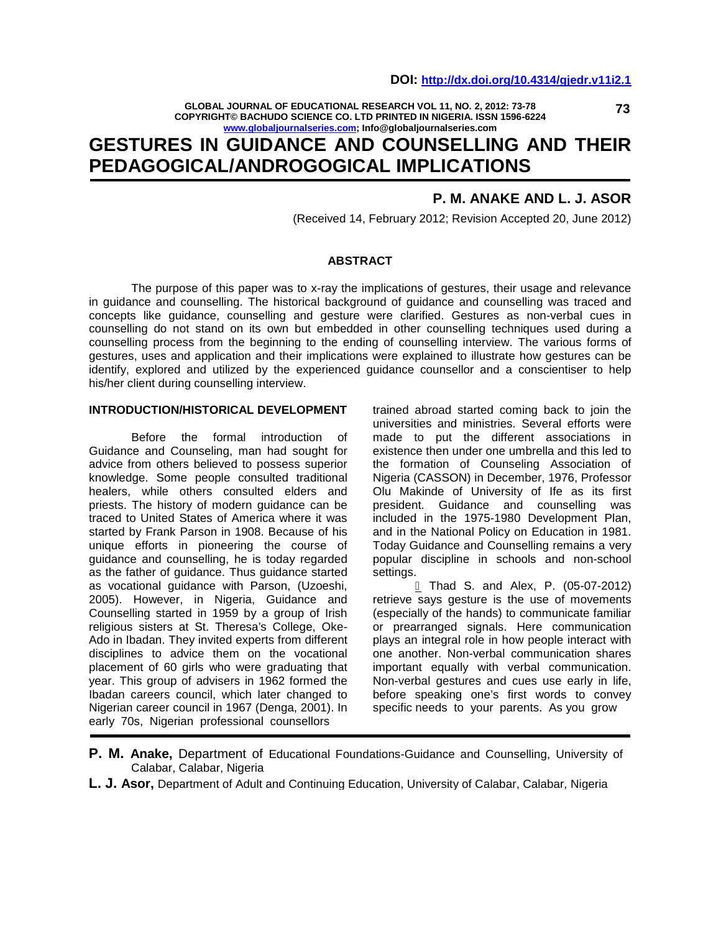**GLOBAL JOURNAL OF EDUCATIONAL RESEARCH VOL 11, NO. 2, 2012: 73-78 COPYRIGHT© BACHUDO SCIENCE CO. LTD PRINTED IN NIGERIA. ISSN 1596-6224 www.globaljournalseries.com; Info@globaljournalseries.com**

## **GESTURES IN GUIDANCE AND COUNSELLING AND THEIR PEDAGOGICAL/ANDROGOGICAL IMPLICATIONS**

### **P. M. ANAKE AND L. J. ASOR**

**73**

(Received 14, February 2012; Revision Accepted 20, June 2012)

### **ABSTRACT**

The purpose of this paper was to x-ray the implications of gestures, their usage and relevance in guidance and counselling. The historical background of guidance and counselling was traced and concepts like guidance, counselling and gesture were clarified. Gestures as non-verbal cues in counselling do not stand on its own but embedded in other counselling techniques used during a counselling process from the beginning to the ending of counselling interview. The various forms of gestures, uses and application and their implications were explained to illustrate how gestures can be identify, explored and utilized by the experienced guidance counsellor and a conscientiser to help his/her client during counselling interview.

### **INTRODUCTION/HISTORICAL DEVELOPMENT**

Before the formal introduction of Guidance and Counseling, man had sought for advice from others believed to possess superior knowledge. Some people consulted traditional healers, while others consulted elders and priests. The history of modern guidance can be traced to United States of America where it was started by Frank Parson in 1908. Because of his unique efforts in pioneering the course of guidance and counselling, he is today regarded as the father of guidance. Thus guidance started as vocational guidance with Parson, (Uzoeshi, 2005). However, in Nigeria, Guidance and Counselling started in 1959 by a group of Irish religious sisters at St. Theresa's College, Oke- Ado in Ibadan. They invited experts from different disciplines to advice them on the vocational placement of 60 girls who were graduating that year. This group of advisers in 1962 formed the Ibadan careers council, which later changed to Nigerian career council in 1967 (Denga, 2001). In early 70s, Nigerian professional counsellors

trained abroad started coming back to join the universities and ministries. Several efforts were made to put the different associations in existence then under one umbrella and this led to the formation of Counseling Association of Nigeria (CASSON) in December, 1976, Professor Olu Makinde of University of Ife as its first president. Guidance and counselling was included in the 1975-1980 Development Plan, and in the National Policy on Education in 1981. Today Guidance and Counselling remains a very popular discipline in schools and non-school settings.

Thad S. and Alex, P. (05-07-2012) retrieve says gesture is the use of movements (especially of the hands) to communicate familiar or prearranged signals. Here communication plays an integral role in how people interact with one another. Non-verbal communication shares important equally with verbal communication. Non-verbal gestures and cues use early in life, before speaking one's first words to convey specific needs to your parents. As you grow

- **P. M. Anake,** Department of Educational Foundations-Guidance and Counselling, University of Calabar, Calabar, Nigeria
- **L. J. Asor,** Department of Adult and Continuing Education, University of Calabar, Calabar, Nigeria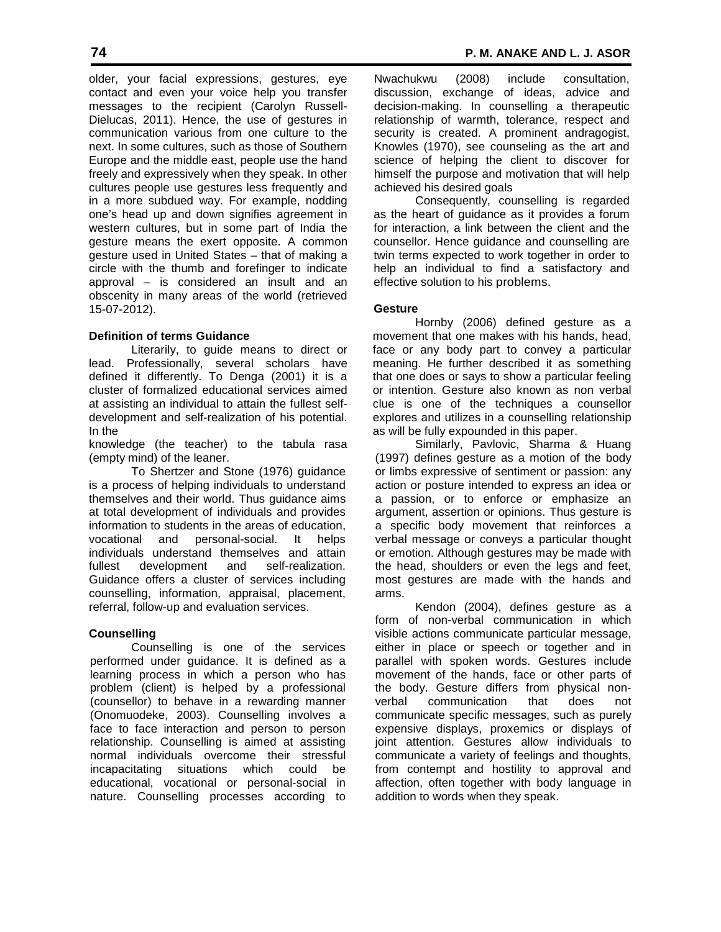older, your facial expressions, gestures, eye contact and even your voice help you transfer messages to the recipient (Carolyn Russell- Dielucas, 2011). Hence, the use of gestures in communication various from one culture to the next. In some cultures, such as those of Southern Europe and the middle east, people use the hand freely and expressively when they speak. In other cultures people use gestures less frequently and in a more subdued way. For example, nodding one's head up and down signifies agreement in western cultures, but in some part of India the gesture means the exert opposite. A common gesture used in United States – that of making a circle with the thumb and forefinger to indicate approval – is considered an insult and an obscenity in many areas of the world (retrieved 15-07-2012).

### **Definition of terms Guidance**

Literarily, to guide means to direct or lead. Professionally, several scholars have defined it differently. To Denga (2001) it is a cluster of formalized educational services aimed at assisting an individual to attain the fullest self development and self-realization of his potential. In the

knowledge (the teacher) to the tabula rasa (empty mind) of the leaner.

To Shertzer and Stone (1976) guidance is a process of helping individuals to understand themselves and their world. Thus guidance aims at total development of individuals and provides information to students in the areas of education, vocational and personal-social. It helps individuals understand themselves and attain fullest development and self-realization. Guidance offers a cluster of services including counselling, information, appraisal, placement, referral, follow-up and evaluation services.

### **Counselling**

Counselling is one of the services performed under guidance. It is defined as a learning process in which a person who has problem (client) is helped by a professional (counsellor) to behave in a rewarding manner (Onomuodeke, 2003). Counselling involves a face to face interaction and person to person relationship. Counselling is aimed at assisting normal individuals overcome their stressful incapacitating situations which could be educational, vocational or personal-social in nature. Counselling processes according to

 $(2008)$  include consultation, discussion, exchange of ideas, advice and decision-making. In counselling a therapeutic relationship of warmth, tolerance, respect and security is created. A prominent andragogist, Knowles (1970), see counseling as the art and science of helping the client to discover for himself the purpose and motivation that will help achieved his desired goals

Consequently, counselling is regarded as the heart of guidance as it provides a forum for interaction, a link between the client and the counsellor. Hence guidance and counselling are twin terms expected to work together in order to help an individual to find a satisfactory and effective solution to his problems.

### **Gesture**

Hornby (2006) defined gesture as a movement that one makes with his hands, head, face or any body part to convey a particular meaning. He further described it as something that one does or says to show a particular feeling or intention. Gesture also known as non verbal clue is one of the techniques a counsellor explores and utilizes in a counselling relationship as will be fully expounded in this paper.

Similarly, Pavlovic, Sharma & Huang (1997) defines gesture as a motion of the body or limbs expressive of sentiment or passion: any action or posture intended to express an idea or a passion, or to enforce or emphasize an argument, assertion or opinions. Thus gesture is a specific body movement that reinforces a verbal message or conveys a particular thought or emotion. Although gestures may be made with the head, shoulders or even the legs and feet, most gestures are made with the hands and arms.

Kendon (2004), defines gesture as a form of non-verbal communication in which visible actions communicate particular message, either in place or speech or together and in parallel with spoken words. Gestures include movement of the hands, face or other parts of the body. Gesture differs from physical non communication that does not communicate specific messages, such as purely expensive displays, proxemics or displays of joint attention. Gestures allow individuals to communicate a variety of feelings and thoughts, from contempt and hostility to approval and affection, often together with body language in addition to words when they speak.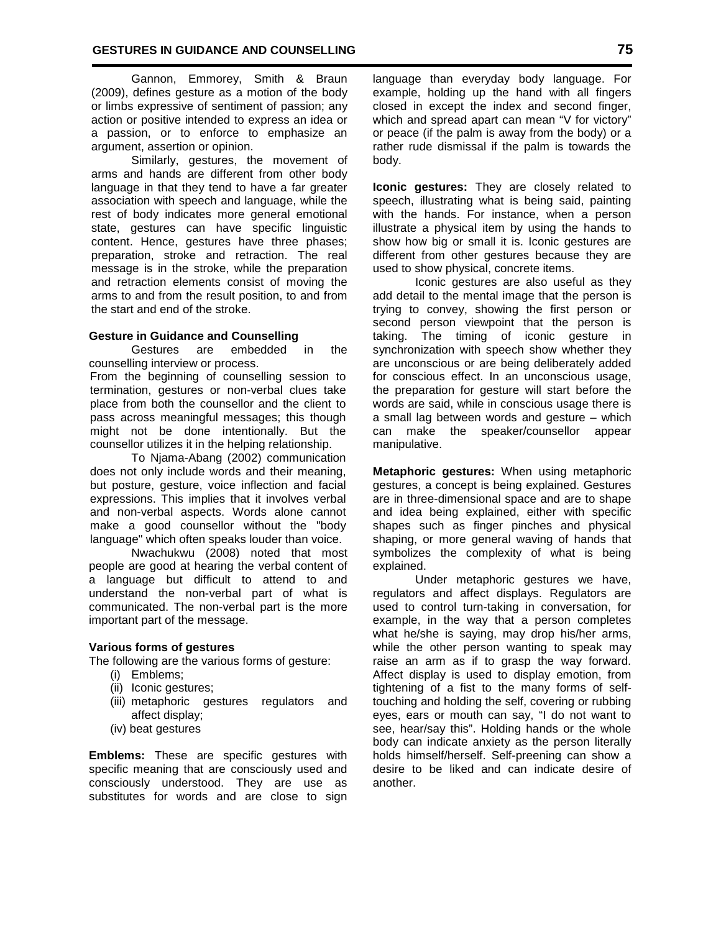Gannon, Emmorey, Smith & Braun (2009), defines gesture as a motion of the body or limbs expressive of sentiment of passion; any action or positive intended to express an idea or a passion, or to enforce to emphasize an argument, assertion or opinion.

Similarly, gestures, the movement of arms and hands are different from other body language in that they tend to have a far greater association with speech and language, while the rest of body indicates more general emotional state, gestures can have specific linguistic content. Hence, gestures have three phases; preparation, stroke and retraction. The real message is in the stroke, while the preparation and retraction elements consist of moving the arms to and from the result position, to and from the start and end of the stroke.

# **Gesture in Guidance and Counselling**<br>**Gestures** are embedded

are embedded in the counselling interview or process.

From the beginning of counselling session to termination, gestures or non-verbal clues take place from both the counsellor and the client to pass across meaningful messages; this though might not be done intentionally. But the counsellor utilizes it in the helping relationship.

To Njama-Abang (2002) communication does not only include words and their meaning, but posture, gesture, voice inflection and facial expressions. This implies that it involves verbal and non-verbal aspects. Words alone cannot make a good counsellor without the "body language" which often speaks louder than voice.

Nwachukwu (2008) noted that most people are good at hearing the verbal content of a language but difficult to attend to and understand the non-verbal part of what is communicated. The non-verbal part is the more important part of the message.

### **Various forms of gestures**

The following are the various forms of gesture:

- (i) Emblems;
- (ii) Iconic gestures;
- (iii) metaphoric gestures regulators and affect display;
- (iv) beat gestures

**Emblems:** These are specific gestures with specific meaning that are consciously used and consciously understood. They are use as substitutes for words and are close to sign language than everyday body language. For example, holding up the hand with all fingers closed in except the index and second finger, which and spread apart can mean "V for victory" or peace (if the palm is away from the body) or a rather rude dismissal if the palm is towards the body.

**Iconic gestures:** They are closely related to speech, illustrating what is being said, painting with the hands. For instance, when a person illustrate a physical item by using the hands to show how big or small it is. Iconic gestures are different from other gestures because they are used to show physical, concrete items.

Iconic gestures are also useful as they add detail to the mental image that the person is trying to convey, showing the first person or second person viewpoint that the person is taking. The timing of iconic gesture in synchronization with speech show whether they are unconscious or are being deliberately added for conscious effect. In an unconscious usage, the preparation for gesture will start before the words are said, while in conscious usage there is a small lag between words and gesture – which can make the speaker/counsellor appear manipulative.

**Metaphoric gestures:** When using metaphoric gestures, a concept is being explained. Gestures are in three-dimensional space and are to shape and idea being explained, either with specific shapes such as finger pinches and physical shaping, or more general waving of hands that symbolizes the complexity of what is being explained.

Under metaphoric gestures we have, regulators and affect displays. Regulators are used to control turn-taking in conversation, for example, in the way that a person completes what he/she is saying, may drop his/her arms, while the other person wanting to speak may raise an arm as if to grasp the way forward. Affect display is used to display emotion, from tightening of a fist to the many forms of selftouching and holding the self, covering or rubbing eyes, ears or mouth can say, "I do not want to see, hear/say this". Holding hands or the whole body can indicate anxiety as the person literally holds himself/herself. Self-preening can show a desire to be liked and can indicate desire of another.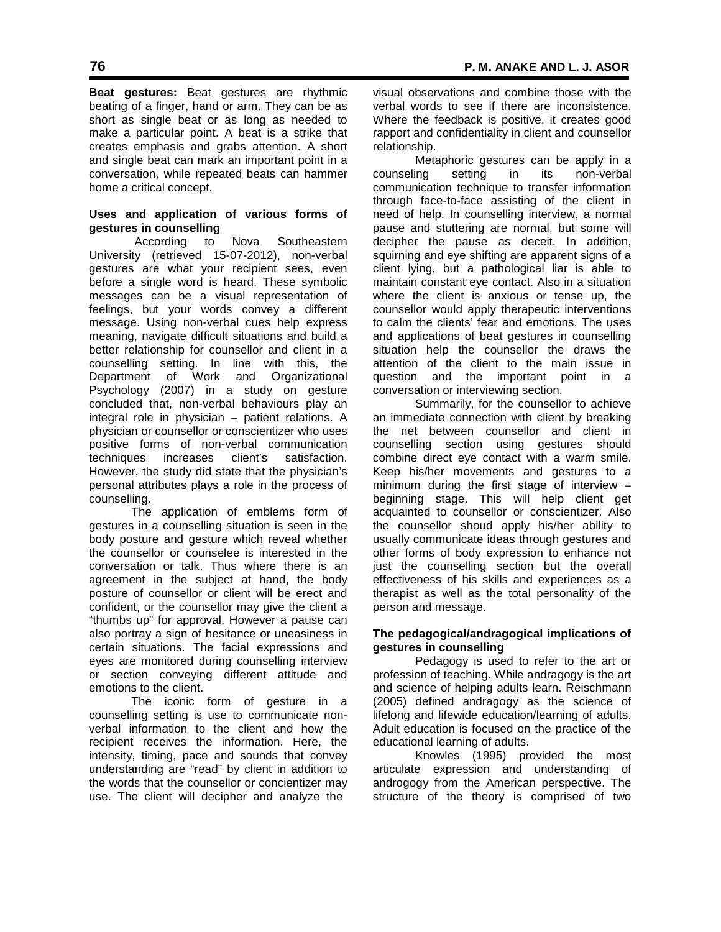**Beat gestures:** Beat gestures are rhythmic beating of a finger, hand or arm. They can be as short as single beat or as long as needed to make a particular point. A beat is a strike that creates emphasis and grabs attention. A short and single beat can mark an important point in a conversation, while repeated beats can hammer home a critical concept.

### **Uses and application of various forms of gestures in counselling<br>According to Nova**

According to Nova Southeastern University (retrieved 15-07-2012), non-verbal gestures are what your recipient sees, even before a single word is heard. These symbolic messages can be a visual representation of feelings, but your words convey a different message. Using non-verbal cues help express meaning, navigate difficult situations and build a better relationship for counsellor and client in a counselling setting. In line with this, the Department of Work and Organizational Psychology (2007) in a study on gesture concluded that, non-verbal behaviours play an integral role in physician – patient relations. A physician or counsellor or conscientizer who uses positive forms of non-verbal communication techniques increases client's satisfaction. However, the study did state that the physician's personal attributes plays a role in the process of counselling.

The application of emblems form of gestures in a counselling situation is seen in the body posture and gesture which reveal whether the counsellor or counselee is interested in the conversation or talk. Thus where there is an agreement in the subject at hand, the body posture of counsellor or client will be erect and confident, or the counsellor may give the client a "thumbs up" for approval. However a pause can also portray a sign of hesitance or uneasiness in certain situations. The facial expressions and eyes are monitored during counselling interview or section conveying different attitude and emotions to the client.

The iconic form of gesture in a counselling setting is use to communicate non verbal information to the client and how the recipient receives the information. Here, the intensity, timing, pace and sounds that convey understanding are "read" by client in addition to the words that the counsellor or concientizer may use. The client will decipher and analyze the

visual observations and combine those with the verbal words to see if there are inconsistence. Where the feedback is positive, it creates good rapport and confidentiality in client and counsellor relationship.

Metaphoric gestures can be apply in a setting in its non-verbal communication technique to transfer information through face-to-face assisting of the client in need of help. In counselling interview, a normal pause and stuttering are normal, but some will decipher the pause as deceit. In addition, squirning and eye shifting are apparent signs of a client lying, but a pathological liar is able to maintain constant eye contact. Also in a situation where the client is anxious or tense up, the counsellor would apply therapeutic interventions to calm the clients' fear and emotions. The uses and applications of beat gestures in counselling situation help the counsellor the draws the attention of the client to the main issue in question and the important point in a conversation or interviewing section.

Summarily, for the counsellor to achieve an immediate connection with client by breaking the net between counsellor and client in counselling section using gestures should combine direct eye contact with a warm smile. Keep his/her movements and gestures to a minimum during the first stage of interview – beginning stage. This will help client get acquainted to counsellor or conscientizer. Also the counsellor shoud apply his/her ability to usually communicate ideas through gestures and other forms of body expression to enhance not just the counselling section but the overall effectiveness of his skills and experiences as a therapist as well as the total personality of the person and message.

### **The pedagogical/andragogical implications of gestures in counselling**

Pedagogy is used to refer to the art or profession of teaching. While andragogy is the art and science of helping adults learn. Reischmann (2005) defined andragogy as the science of lifelong and lifewide education/learning of adults. Adult education is focused on the practice of the educational learning of adults.

Knowles (1995) provided the most articulate expression and understanding of androgogy from the American perspective. The structure of the theory is comprised of two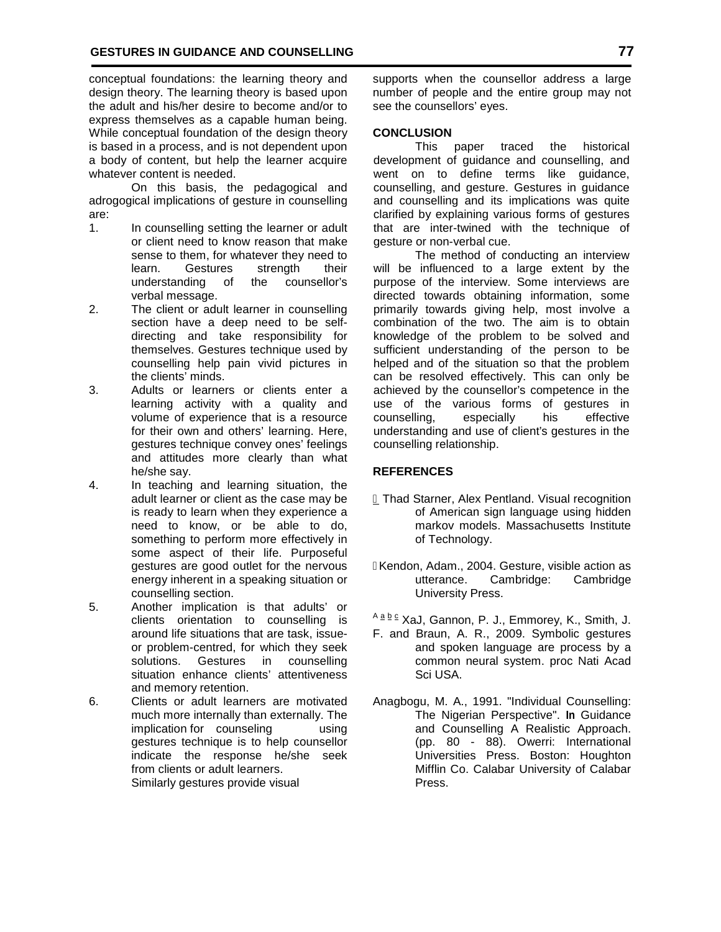conceptual foundations: the learning theory and design theory. The learning theory is based upon the adult and his/her desire to become and/or to express themselves as a capable human being. While conceptual foundation of the design theory is based in a process, and is not dependent upon a body of content, but help the learner acquire whatever content is needed.

On this basis, the pedagogical and adrogogical implications of gesture in counselling are:

- 1. In counselling setting the learner or adult or client need to know reason that make sense to them, for whatever they need to learn. Gestures strength their understanding of the counsellor's verbal message.
- 2. The client or adult learner in counselling section have a deep need to be self directing and take responsibility for themselves. Gestures technique used by counselling help pain vivid pictures in the clients' minds.
- 3. Adults or learners or clients enter a learning activity with a quality and volume of experience that is a resource for their own and others' learning. Here, gestures technique convey ones' feelings and attitudes more clearly than what he/she say.
- 4. In teaching and learning situation, the adult learner or client as the case may be is ready to learn when they experience a need to know, or be able to do, something to perform more effectively in some aspect of their life. Purposeful gestures are good outlet for the nervous energy inherent in a speaking situation or counselling section.
- 5. Another implication is that adults' or clients orientation to counselling is around life situations that are task, issue or problem-centred, for which they seek solutions. Gestures in counselling situation enhance clients' attentiveness and memory retention.
- 6. Clients or adult learners are motivated much more internally than externally. The<br>implication for counseling using implication for counseling gestures technique is to help counsellor indicate the response he/she seek from clients or adult learners. Similarly gestures provide visual

supports when the counsellor address a large number of people and the entire group may not see the counsellors' eyes.

### **CONCLUSION**

This paper traced the historical development of guidance and counselling, and went on to define terms like guidance, counselling, and gesture. Gestures in guidance and counselling and its implications was quite clarified by explaining various forms of gestures that are inter-twined with the technique of gesture or non-verbal cue.

The method of conducting an interview will be influenced to a large extent by the purpose of the interview. Some interviews are directed towards obtaining information, some primarily towards giving help, most involve a combination of the two. The aim is to obtain knowledge of the problem to be solved and sufficient understanding of the person to be helped and of the situation so that the problem can be resolved effectively. This can only be achieved by the counsellor's competence in the use of the various forms of gestures in counselling, especially his effective understanding and use of client's gestures in the counselling relationship.

### **REFERENCES**

- Thad Starner, Alex Pentland. Visual recognition of American sign language using hidden markov models. Massachusetts Institute of Technology.
- Kendon, Adam., 2004. Gesture, visible action as utterance. Cambridge: Cambridge University Press.
- A a b c XaJ, Gannon, P. J., Emmorey, K., Smith, J. F. and Braun, A. R., 2009. Symbolic gestures and spoken language are process by a common neural system. proc Nati Acad Sci USA.
- Anagbogu, M. A., 1991. "Individual Counselling: The Nigerian Perspective". **In** Guidance and Counselling A Realistic Approach. (pp. 80 - 88). Owerri: International Universities Press. Boston: Houghton Mifflin Co. Calabar University of Calabar Press.